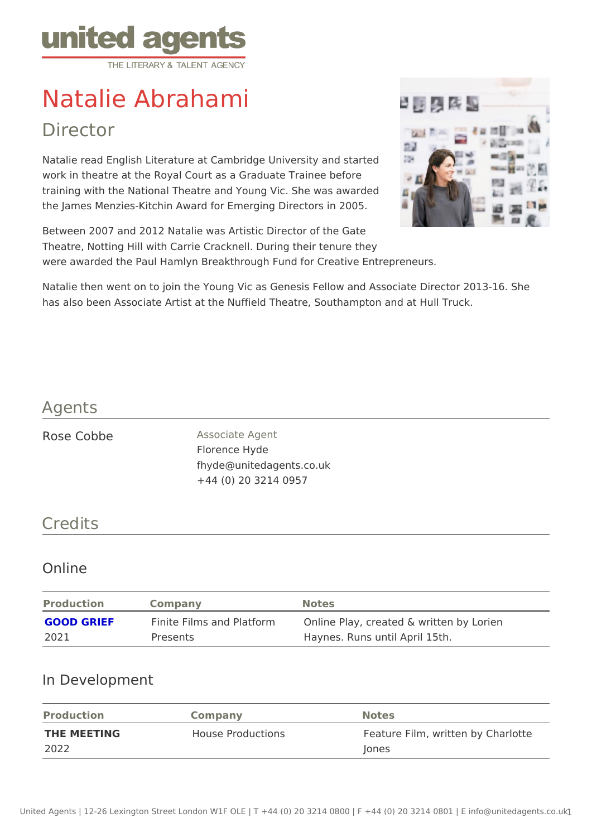# Natalie Abrahami

## Director

Natalie read English Literature at Cambridge University and started work in theatre at the Royal Court as a Graduate Trainee before training with the National Theatre and Young Vic. She was awarded the James Menzies-Kitchin Award for Emerging Directors in 2005.

Between 2007 and 2012 Natalie was Artistic Director of the Gate Theatre, Notting Hill with Carrie Cracknell. During their tenure they were awarded the Paul Hamlyn Breakthrough Fund for Creative Entrepreneurs.

Natalie then went on to join the Young Vic as Genesis Fellow and Associate I has also been Associate Artist at the Nuffield Theatre, Southampton and at H

#### Agents

| Rose Cobbe |  | Associate Agent          |
|------------|--|--------------------------|
|            |  | Florence Hyde            |
|            |  | fhyde@unitedagents.co.uk |
|            |  | +44 (0) 20 3214 0957     |

#### Credits

#### Online

| Production | Company  | Notes                                                                      |  |
|------------|----------|----------------------------------------------------------------------------|--|
|            |          | GOOD GRIEF Finite Films and PlatfOn hine Play, created & written by Lorien |  |
| 2021       | Presents | Haynes. Runs until April 15th.                                             |  |

#### In Development

| Production  | Company           | Notes                            |  |
|-------------|-------------------|----------------------------------|--|
| THE MEETING | House Productions | Feature Film, written by Charlot |  |
| 2022        |                   | Jones                            |  |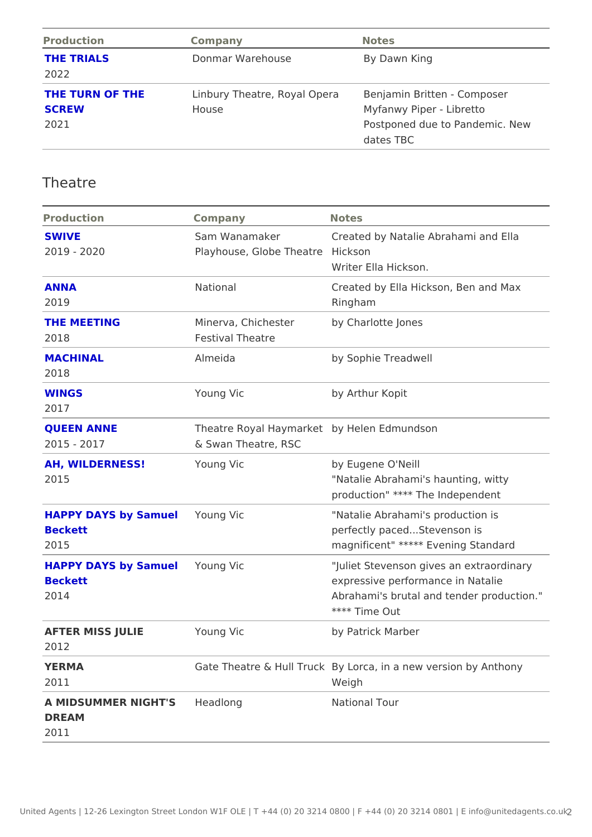| Production         | Company          | Notes                                                                   |
|--------------------|------------------|-------------------------------------------------------------------------|
| THE TRIALS<br>2022 | Donmar Warehouse | By Dawn King                                                            |
|                    |                  | THE TURN OF THE Linbury Theatre, Royal OBpeenrjaamin Britten - Composer |
| SCREW              | House            | Myfanwy Piper - Libretto                                                |
| 2021               |                  | Postponed due to Pandemic. Nev                                          |
|                    |                  | dates TBC                                                               |

## Theatre

| Production                   | Company                   | Notes                                                   |
|------------------------------|---------------------------|---------------------------------------------------------|
| SWIVE                        |                           | Sam Wanamaker Created by Natalie Abrahami and Ell       |
| $2019 - 2020$                | Playhouse, Globe Theakson |                                                         |
|                              |                           | Writer Ella Hickson.                                    |
| ANNA                         | National                  | Created by Ella Hickson, Ben and Ma                     |
| 2019                         |                           | Ringham                                                 |
| THE MEETING                  |                           | Minerva, Chichesterby Charlotte Jones                   |
| 2018                         | Festival Theatre          |                                                         |
| MACHINAL                     | Almeida                   | by Sophie Treadwell                                     |
| 2018                         |                           |                                                         |
| WINGS                        | Young Vic                 | by Arthur Kopit                                         |
| 2017                         |                           |                                                         |
| <b>QUEEN ANNE</b>            |                           | Theatre Royal Haymbayrk betlen Edmundson                |
| $2015 - 2017$                | & Swan Theatre, RSC       |                                                         |
| AH, WILDERNESS!              | Young Vic                 | by Eugene O'Neill                                       |
| 2015                         |                           | "Natalie Abrahami's haunting, witty                     |
|                              |                           | production" **** The Independent                        |
| HAPPY DAYS by SamuYedung Vic |                           | "Natalie Abrahami's production is                       |
| <b>Beckett</b>               |                           | perfectly pacedStevenson is                             |
| 2015                         |                           | magnificent" ***** Evening Standard                     |
| HAPPY DAYS by SamuYedung Vic |                           | "Juliet Stevenson gives an extraordi                    |
| <b>Beckett</b>               |                           | expressive performance in Natalie                       |
| 2014                         |                           | Abrahami's brutal and tender product                    |
|                              |                           | **** Time Out                                           |
| AFTER MISS JULIE             | Young Vic                 | by Patrick Marber                                       |
| 2012                         |                           |                                                         |
| YERMA                        |                           | Gate Theatre & HulByrluckca, in a new version by Anthor |
| 2011                         |                           | Weigh                                                   |
| A MIDSUMMER NIGHTHSeadlong   |                           | National Tour                                           |
| DREAM                        |                           |                                                         |
| 2011                         |                           |                                                         |